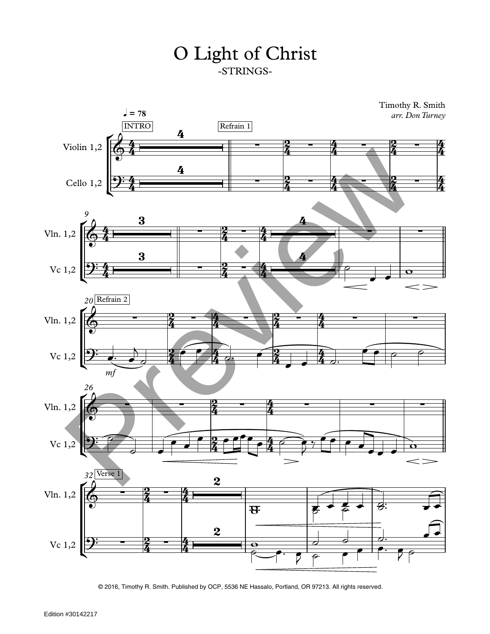## O Light of Christ -STRINGS-



© 2016, Timothy R. Smith. Published by OCP, 5536 NE Hassalo, Portland, OR 97213. All rights reserved.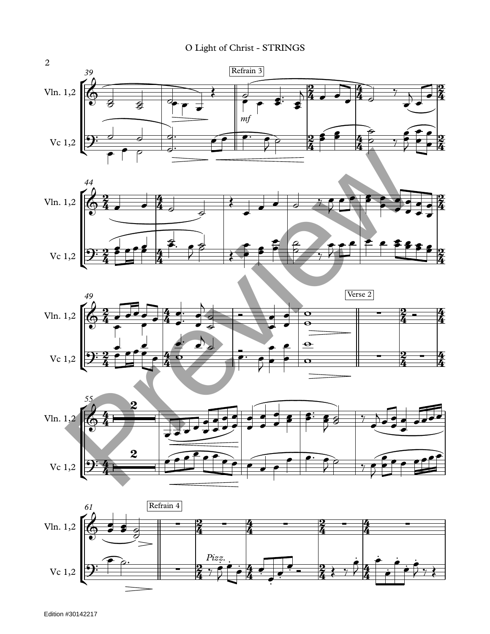









Edition #30142217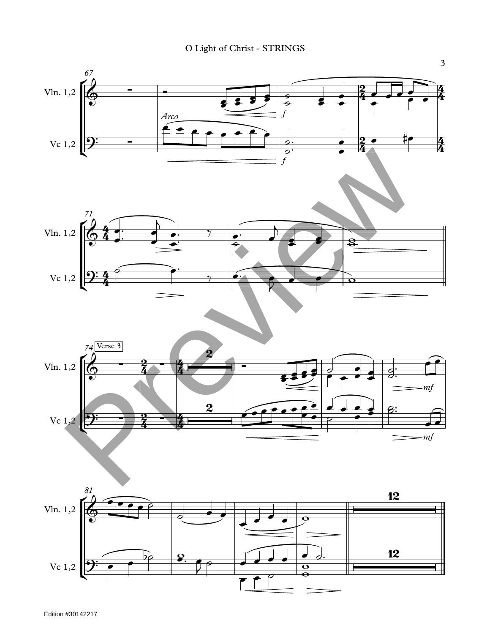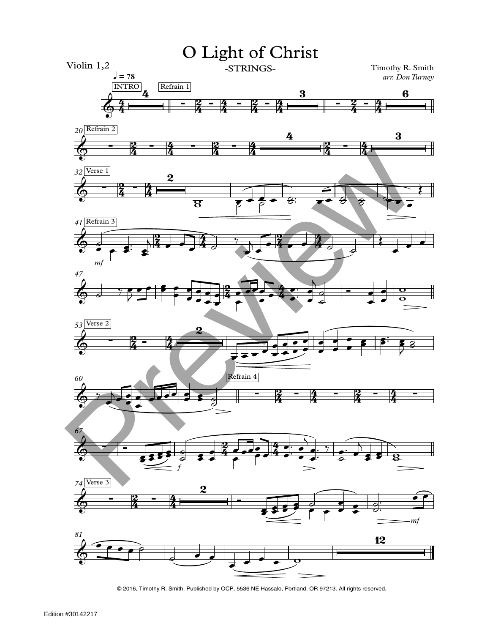

© 2016, Timothy R. Smith. Published by OCP, 5536 NE Hassalo, Portland, OR 97213. All rights reserved.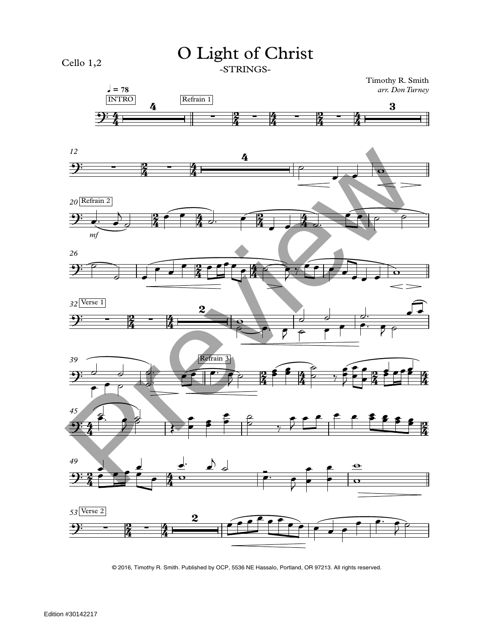Cello 1,2

## O Light of Christ -STRINGS-

Timothy R. Smith *arr. Don Turney*





© 2016, Timothy R. Smith. Published by OCP, 5536 NE Hassalo, Portland, OR 97213. All rights reserved.